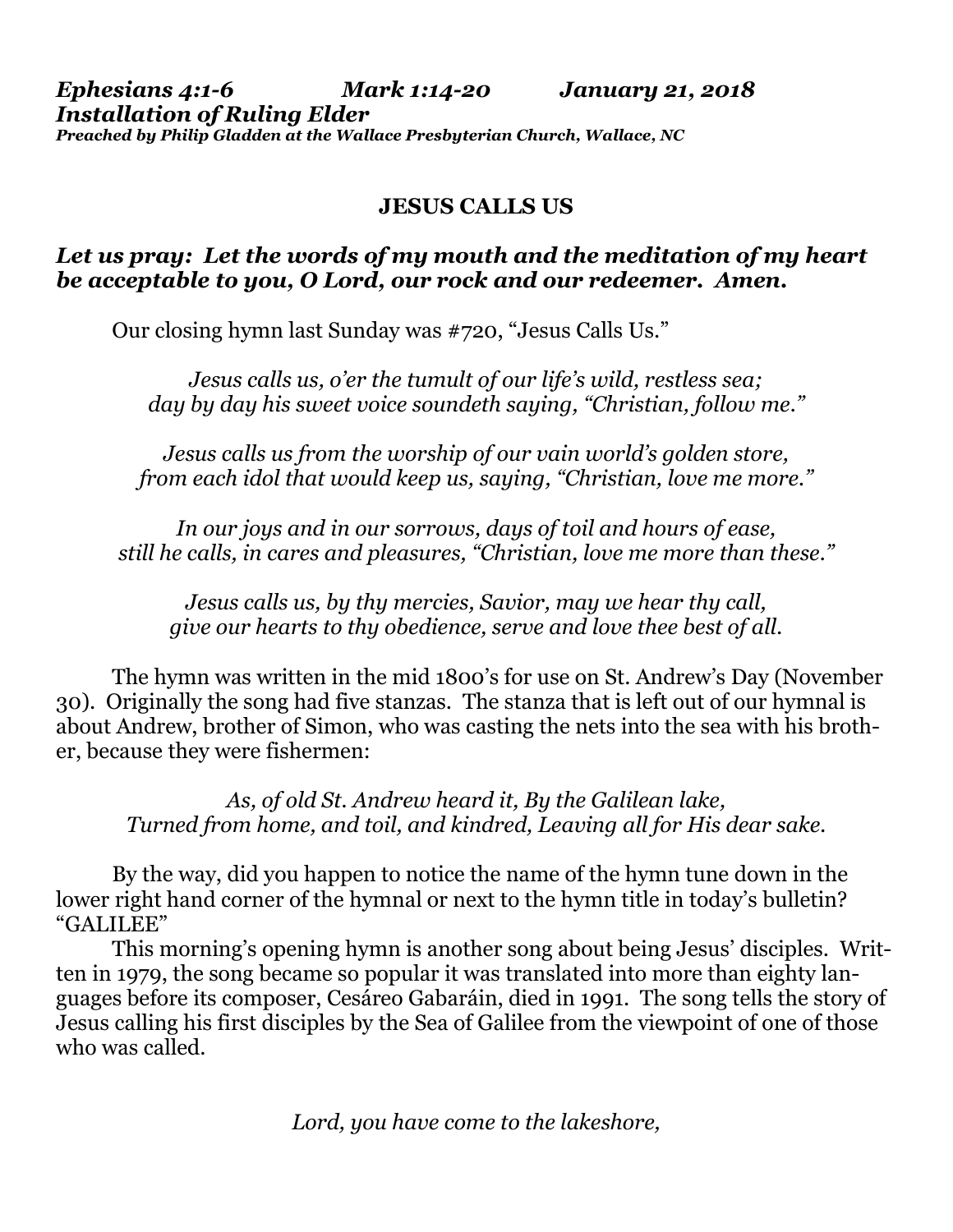#### *Ephesians 4:1-6 Mark 1:14-20 January 21, 2018 Installation of Ruling Elder Preached by Philip Gladden at the Wallace Presbyterian Church, Wallace, NC*

# **JESUS CALLS US**

## *Let us pray: Let the words of my mouth and the meditation of my heart be acceptable to you, O Lord, our rock and our redeemer. Amen.*

Our closing hymn last Sunday was #720, "Jesus Calls Us."

*Jesus calls us, o'er the tumult of our life's wild, restless sea; day by day his sweet voice soundeth saying, "Christian, follow me."*

*Jesus calls us from the worship of our vain world's golden store, from each idol that would keep us, saying, "Christian, love me more."*

*In our joys and in our sorrows, days of toil and hours of ease, still he calls, in cares and pleasures, "Christian, love me more than these."*

*Jesus calls us, by thy mercies, Savior, may we hear thy call, give our hearts to thy obedience, serve and love thee best of all.*

The hymn was written in the mid 1800's for use on St. Andrew's Day (November 30). Originally the song had five stanzas. The stanza that is left out of our hymnal is about Andrew, brother of Simon, who was casting the nets into the sea with his brother, because they were fishermen:

*As, of old St. Andrew heard it, By the Galilean lake, Turned from home, and toil, and kindred, Leaving all for His dear sake.*

By the way, did you happen to notice the name of the hymn tune down in the lower right hand corner of the hymnal or next to the hymn title in today's bulletin? "GALILEE"

This morning's opening hymn is another song about being Jesus' disciples. Written in 1979, the song became so popular it was translated into more than eighty languages before its composer, Cesáreo Gabaráin, died in 1991. The song tells the story of Jesus calling his first disciples by the Sea of Galilee from the viewpoint of one of those who was called.

*Lord, you have come to the lakeshore,*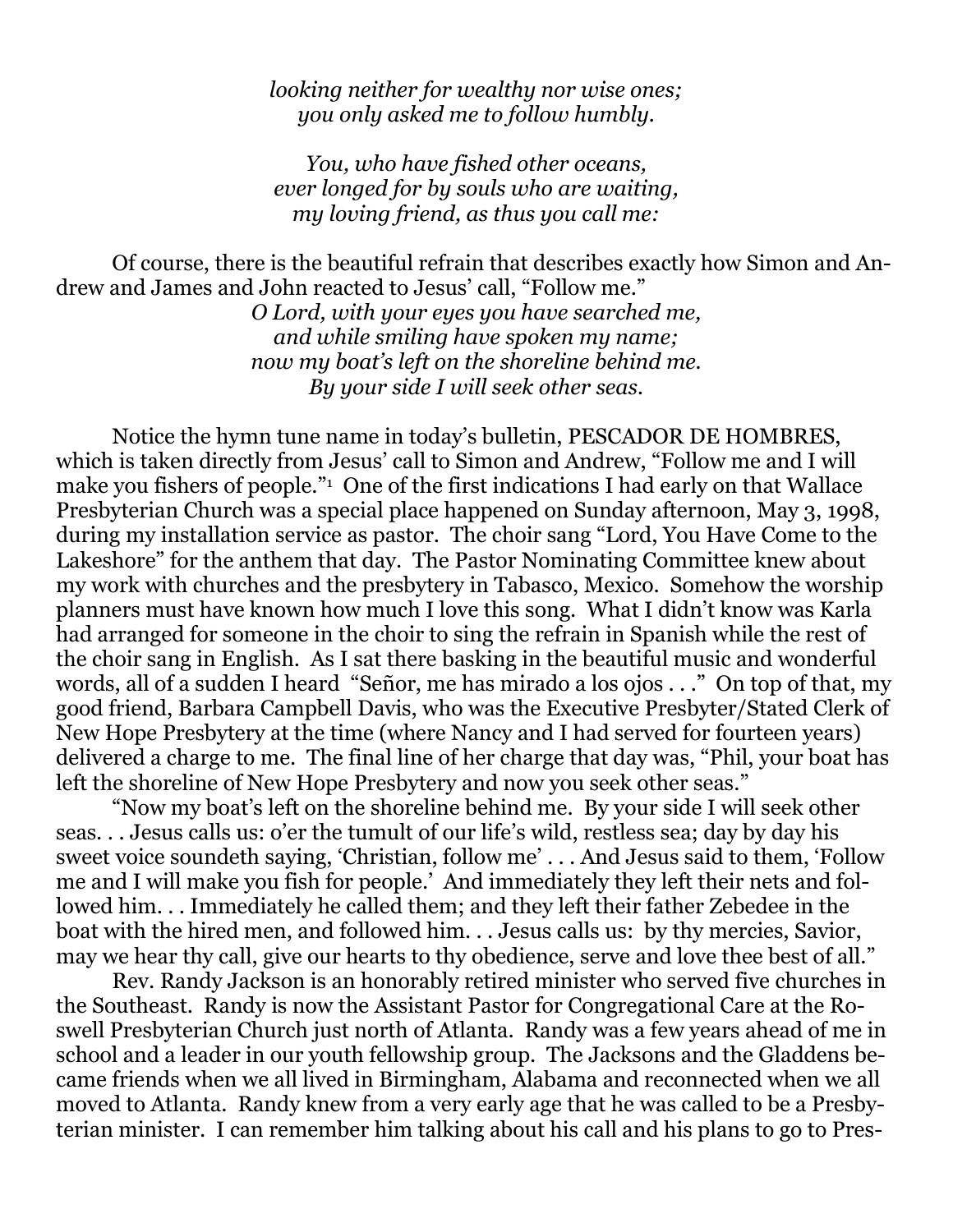## *looking neither for wealthy nor wise ones; you only asked me to follow humbly.*

*You, who have fished other oceans, ever longed for by souls who are waiting, my loving friend, as thus you call me:*

Of course, there is the beautiful refrain that describes exactly how Simon and Andrew and James and John reacted to Jesus' call, "Follow me."

> *O Lord, with your eyes you have searched me, and while smiling have spoken my name; now my boat's left on the shoreline behind me. By your side I will seek other seas.*

Notice the hymn tune name in today's bulletin, PESCADOR DE HOMBRES, which is taken directly from Jesus' call to Simon and Andrew, "Follow me and I will make you fishers of people."<sup>1</sup> One of the first indications I had early on that Wallace Presbyterian Church was a special place happened on Sunday afternoon, May 3, 1998, during my installation service as pastor. The choir sang "Lord, You Have Come to the Lakeshore" for the anthem that day. The Pastor Nominating Committee knew about my work with churches and the presbytery in Tabasco, Mexico. Somehow the worship planners must have known how much I love this song. What I didn't know was Karla had arranged for someone in the choir to sing the refrain in Spanish while the rest of the choir sang in English. As I sat there basking in the beautiful music and wonderful words, all of a sudden I heard "Señor, me has mirado a los ojos . . ." On top of that, my good friend, Barbara Campbell Davis, who was the Executive Presbyter/Stated Clerk of New Hope Presbytery at the time (where Nancy and I had served for fourteen years) delivered a charge to me. The final line of her charge that day was, "Phil, your boat has left the shoreline of New Hope Presbytery and now you seek other seas."

"Now my boat's left on the shoreline behind me. By your side I will seek other seas. . . Jesus calls us: o'er the tumult of our life's wild, restless sea; day by day his sweet voice soundeth saying, 'Christian, follow me' . . . And Jesus said to them, 'Follow me and I will make you fish for people.' And immediately they left their nets and followed him. . . Immediately he called them; and they left their father Zebedee in the boat with the hired men, and followed him. . . Jesus calls us: by thy mercies, Savior, may we hear thy call, give our hearts to thy obedience, serve and love thee best of all."

Rev. Randy Jackson is an honorably retired minister who served five churches in the Southeast. Randy is now the Assistant Pastor for Congregational Care at the Roswell Presbyterian Church just north of Atlanta. Randy was a few years ahead of me in school and a leader in our youth fellowship group. The Jacksons and the Gladdens became friends when we all lived in Birmingham, Alabama and reconnected when we all moved to Atlanta. Randy knew from a very early age that he was called to be a Presbyterian minister. I can remember him talking about his call and his plans to go to Pres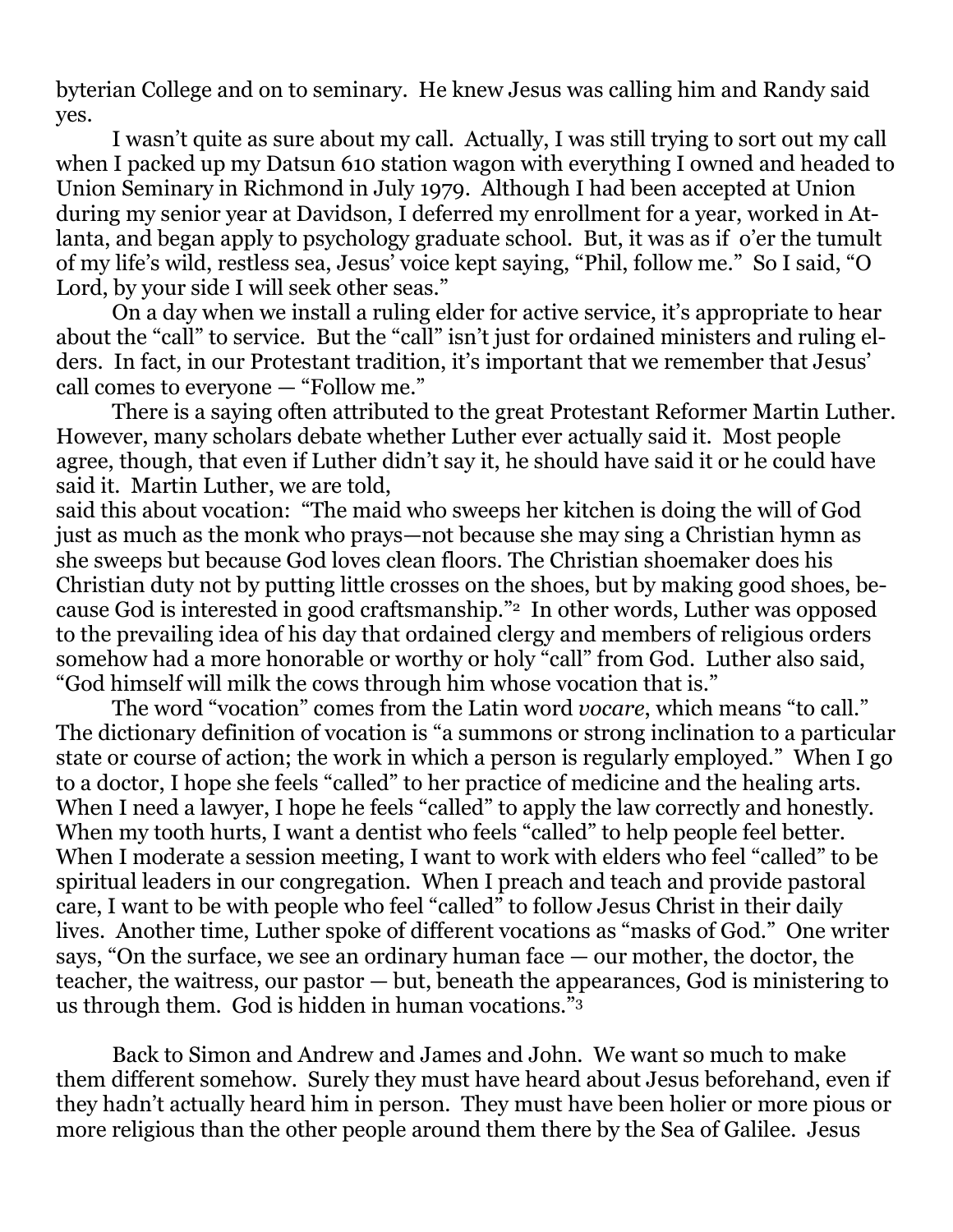byterian College and on to seminary. He knew Jesus was calling him and Randy said yes.

I wasn't quite as sure about my call. Actually, I was still trying to sort out my call when I packed up my Datsun 610 station wagon with everything I owned and headed to Union Seminary in Richmond in July 1979. Although I had been accepted at Union during my senior year at Davidson, I deferred my enrollment for a year, worked in Atlanta, and began apply to psychology graduate school. But, it was as if o'er the tumult of my life's wild, restless sea, Jesus' voice kept saying, "Phil, follow me." So I said, "O Lord, by your side I will seek other seas."

On a day when we install a ruling elder for active service, it's appropriate to hear about the "call" to service. But the "call" isn't just for ordained ministers and ruling elders. In fact, in our Protestant tradition, it's important that we remember that Jesus' call comes to everyone — "Follow me."

There is a saying often attributed to the great Protestant Reformer Martin Luther. However, many scholars debate whether Luther ever actually said it. Most people agree, though, that even if Luther didn't say it, he should have said it or he could have said it. Martin Luther, we are told,

said this about vocation: "The maid who sweeps her kitchen is doing the will of God just as much as the monk who prays—not because she may sing a Christian hymn as she sweeps but because God loves clean floors. The Christian shoemaker does his Christian duty not by putting little crosses on the shoes, but by making good shoes, because God is interested in good craftsmanship."2 In other words, Luther was opposed to the prevailing idea of his day that ordained clergy and members of religious orders somehow had a more honorable or worthy or holy "call" from God. Luther also said, "God himself will milk the cows through him whose vocation that is."

The word "vocation" comes from the Latin word *vocare*, which means "to call." The dictionary definition of vocation is "a summons or strong inclination to a particular state or course of action; the work in which a person is regularly employed." When I go to a doctor, I hope she feels "called" to her practice of medicine and the healing arts. When I need a lawyer, I hope he feels "called" to apply the law correctly and honestly. When my tooth hurts, I want a dentist who feels "called" to help people feel better. When I moderate a session meeting, I want to work with elders who feel "called" to be spiritual leaders in our congregation. When I preach and teach and provide pastoral care, I want to be with people who feel "called" to follow Jesus Christ in their daily lives. Another time, Luther spoke of different vocations as "masks of God." One writer says, "On the surface, we see an ordinary human face — our mother, the doctor, the teacher, the waitress, our pastor — but, beneath the appearances, God is ministering to us through them. God is hidden in human vocations."<sup>3</sup>

Back to Simon and Andrew and James and John. We want so much to make them different somehow. Surely they must have heard about Jesus beforehand, even if they hadn't actually heard him in person. They must have been holier or more pious or more religious than the other people around them there by the Sea of Galilee. Jesus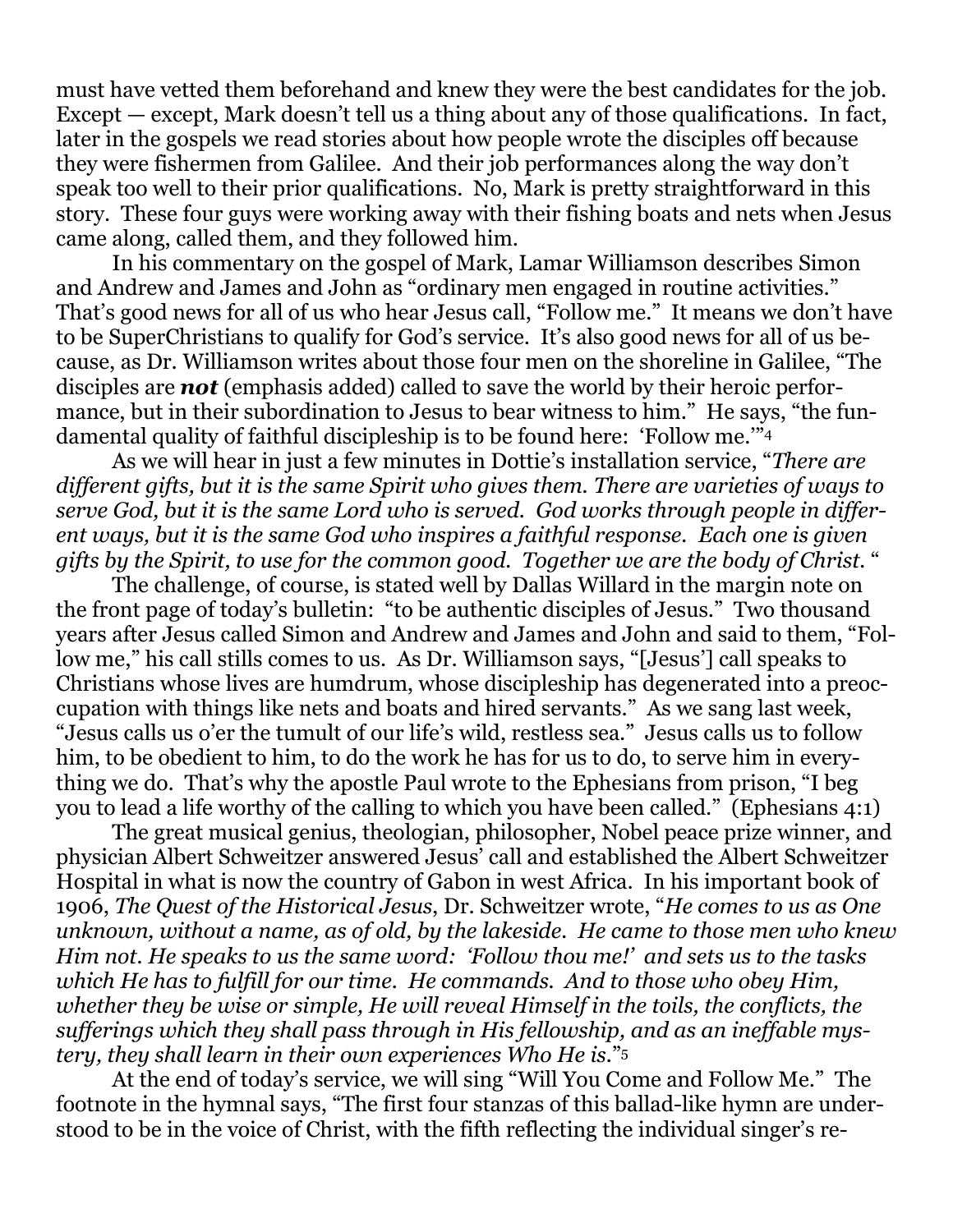must have vetted them beforehand and knew they were the best candidates for the job. Except — except, Mark doesn't tell us a thing about any of those qualifications. In fact, later in the gospels we read stories about how people wrote the disciples off because they were fishermen from Galilee. And their job performances along the way don't speak too well to their prior qualifications. No, Mark is pretty straightforward in this story. These four guys were working away with their fishing boats and nets when Jesus came along, called them, and they followed him.

In his commentary on the gospel of Mark, Lamar Williamson describes Simon and Andrew and James and John as "ordinary men engaged in routine activities." That's good news for all of us who hear Jesus call, "Follow me." It means we don't have to be SuperChristians to qualify for God's service. It's also good news for all of us because, as Dr. Williamson writes about those four men on the shoreline in Galilee, "The disciples are *not* (emphasis added) called to save the world by their heroic performance, but in their subordination to Jesus to bear witness to him." He says, "the fundamental quality of faithful discipleship is to be found here: 'Follow me.'"<sup>4</sup>

As we will hear in just a few minutes in Dottie's installation service, "*There are different gifts, but it is the same Spirit who gives them. There are varieties of ways to serve God, but it is the same Lord who is served. God works through people in different ways, but it is the same God who inspires a faithful response.**Each one is given gifts by the Spirit, to use for the common good. Together we are the body of Christ.* "

The challenge, of course, is stated well by Dallas Willard in the margin note on the front page of today's bulletin: "to be authentic disciples of Jesus." Two thousand years after Jesus called Simon and Andrew and James and John and said to them, "Follow me," his call stills comes to us. As Dr. Williamson says, "[Jesus'] call speaks to Christians whose lives are humdrum, whose discipleship has degenerated into a preoccupation with things like nets and boats and hired servants." As we sang last week, "Jesus calls us o'er the tumult of our life's wild, restless sea." Jesus calls us to follow him, to be obedient to him, to do the work he has for us to do, to serve him in everything we do. That's why the apostle Paul wrote to the Ephesians from prison, "I beg you to lead a life worthy of the calling to which you have been called." (Ephesians 4:1)

The great musical genius, theologian, philosopher, Nobel peace prize winner, and physician Albert Schweitzer answered Jesus' call and established the Albert Schweitzer Hospital in what is now the country of Gabon in west Africa. In his important book of 1906, *The Quest of the Historical Jesus*, Dr. Schweitzer wrote, "*He comes to us as One unknown, without a name, as of old, by the lakeside. He came to those men who knew Him not. He speaks to us the same word: 'Follow thou me!' and sets us to the tasks which He has to fulfill for our time. He commands. And to those who obey Him, whether they be wise or simple, He will reveal Himself in the toils, the conflicts, the sufferings which they shall pass through in His fellowship, and as an ineffable mystery, they shall learn in their own experiences Who He is.*" 5

At the end of today's service, we will sing "Will You Come and Follow Me." The footnote in the hymnal says, "The first four stanzas of this ballad-like hymn are understood to be in the voice of Christ, with the fifth reflecting the individual singer's re